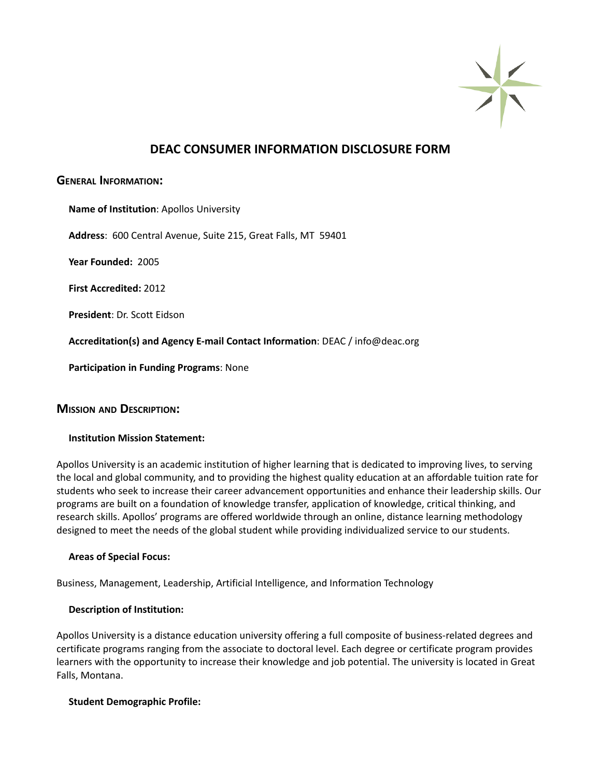

# **DEAC CONSUMER INFORMATION DISCLOSURE FORM**

## **GENERAL INFORMATION:**

| Name of Institution: Apollos University                                      |
|------------------------------------------------------------------------------|
| <b>Address:</b> 600 Central Avenue, Suite 215, Great Falls, MT 59401         |
| Year Founded: 2005                                                           |
| <b>First Accredited: 2012</b>                                                |
| <b>President: Dr. Scott Eidson</b>                                           |
| Accreditation(s) and Agency E-mail Contact Information: DEAC / info@deac.org |
| <b>Participation in Funding Programs: None</b>                               |
|                                                                              |

# **MISSION AND DESCRIPTION:**

#### **Institution Mission Statement:**

Apollos University is an academic institution of higher learning that is dedicated to improving lives, to serving the local and global community, and to providing the highest quality education at an affordable tuition rate for students who seek to increase their career advancement opportunities and enhance their leadership skills. Our programs are built on a foundation of knowledge transfer, application of knowledge, critical thinking, and research skills. Apollos' programs are offered worldwide through an online, distance learning methodology designed to meet the needs of the global student while providing individualized service to our students.

#### **Areas of Special Focus:**

Business, Management, Leadership, Artificial Intelligence, and Information Technology

#### **Description of Institution:**

Apollos University is a distance education university offering a full composite of business-related degrees and certificate programs ranging from the associate to doctoral level. Each degree or certificate program provides learners with the opportunity to increase their knowledge and job potential. The university is located in Great Falls, Montana.

#### **Student Demographic Profile:**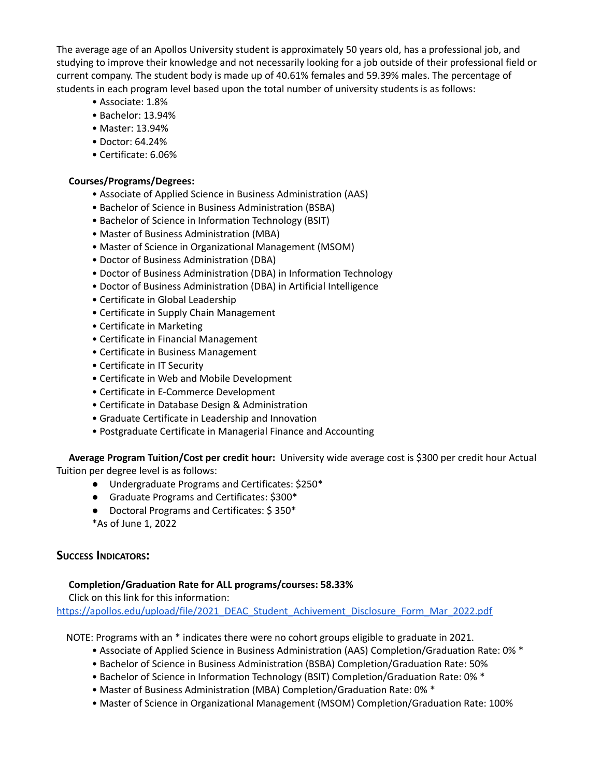The average age of an Apollos University student is approximately 50 years old, has a professional job, and studying to improve their knowledge and not necessarily looking for a job outside of their professional field or current company. The student body is made up of 40.61% females and 59.39% males. The percentage of students in each program level based upon the total number of university students is as follows:

- Associate: 1.8%
- Bachelor: 13.94%
- Master: 13.94%
- Doctor: 64.24%
- Certificate: 6.06%

## **Courses/Programs/Degrees:**

- Associate of Applied Science in Business Administration (AAS)
- Bachelor of Science in Business Administration (BSBA)
- Bachelor of Science in Information Technology (BSIT)
- Master of Business Administration (MBA)
- Master of Science in Organizational Management (MSOM)
- Doctor of Business Administration (DBA)
- Doctor of Business Administration (DBA) in Information Technology
- Doctor of Business Administration (DBA) in Artificial Intelligence
- Certificate in Global Leadership
- Certificate in Supply Chain Management
- Certificate in Marketing
- Certificate in Financial Management
- Certificate in Business Management
- Certificate in IT Security
- Certificate in Web and Mobile Development
- Certificate in E-Commerce Development
- Certificate in Database Design & Administration
- Graduate Certificate in Leadership and Innovation
- Postgraduate Certificate in Managerial Finance and Accounting

**Average Program Tuition/Cost per credit hour:** University wide average cost is \$300 per credit hour Actual Tuition per degree level is as follows:

- **●** Undergraduate Programs and Certificates: \$250\*
- **●** Graduate Programs and Certificates: \$300\*
- **●** Doctoral Programs and Certificates: \$ 350\*
- \*As of June 1, 2022

# **SUCCESS INDICATORS:**

#### **Completion/Graduation Rate for ALL programs/courses: 58.33%**

Click on this link for this information: [https://apollos.edu/upload/file/2021\\_DEAC\\_Student\\_Achivement\\_Disclosure\\_Form\\_Mar\\_2022.pdf](https://apollos.edu/upload/file/2021_DEAC_Student_Achivement_Disclosure_Form_Mar_2022.pdf)

NOTE: Programs with an \* indicates there were no cohort groups eligible to graduate in 2021.

- Associate of Applied Science in Business Administration (AAS) Completion/Graduation Rate: 0% \*
- Bachelor of Science in Business Administration (BSBA) Completion/Graduation Rate: 50%
- Bachelor of Science in Information Technology (BSIT) Completion/Graduation Rate: 0% \*
- Master of Business Administration (MBA) Completion/Graduation Rate: 0% \*
- Master of Science in Organizational Management (MSOM) Completion/Graduation Rate: 100%